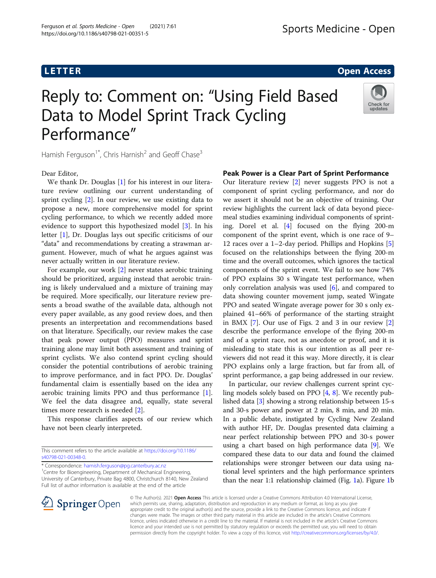## L E T T E T T ER OPEN ACCESS AND THE THE TELEVISION OF THE THEORY OF THE THEORY OF THE THE THE THEORY OF THE T<br>The theory of the theory of the theory of the theory of the theory of the theory of the theory of the theory o

# Reply to: Comment on: "Using Field Based Data to Model Sprint Track Cycling Performance"



Hamish Ferguson<sup>1\*</sup>, Chris Harnish<sup>2</sup> and Geoff Chase<sup>3</sup>

Dear Editor,

We thank Dr. Douglas [[1\]](#page-1-0) for his interest in our literature review outlining our current understanding of sprint cycling [\[2](#page-1-0)]. In our review, we use existing data to propose a new, more comprehensive model for sprint cycling performance, to which we recently added more evidence to support this hypothesized model [\[3\]](#page-1-0). In his letter [[1\]](#page-1-0), Dr. Douglas lays out specific criticisms of our "data" and recommendations by creating a strawman argument. However, much of what he argues against was never actually written in our literature review.

For example, our work [\[2](#page-1-0)] never states aerobic training should be prioritized, arguing instead that aerobic training is likely undervalued and a mixture of training may be required. More specifically, our literature review presents a broad swathe of the available data, although not every paper available, as any good review does, and then presents an interpretation and recommendations based on that literature. Specifically, our review makes the case that peak power output (PPO) measures and sprint training alone may limit both assessment and training of sprint cyclists. We also contend sprint cycling should consider the potential contributions of aerobic training to improve performance, and in fact PPO. Dr. Douglas' fundamental claim is essentially based on the idea any aerobic training limits PPO and thus performance [\[1](#page-1-0)]. We feel the data disagree and, equally, state several times more research is needed [\[2](#page-1-0)].

This response clarifies aspects of our review which have not been clearly interpreted.

This comment refers to the article available at [https://doi.org/10.1186/](https://doi.org/10.1186/s40798-021-00348-0) [s40798-021-00348-0](https://doi.org/10.1186/s40798-021-00348-0).

\* Correspondence: [hamish.ferguson@pg.canterbury.ac.nz](mailto:hamish.ferguson@pg.canterbury.ac.nz) <sup>1</sup>

<sup>1</sup> Centre for Bioengineering, Department of Mechanical Engineering, University of Canterbury, Private Bag 4800, Christchurch 8140, New Zealand Full list of author information is available at the end of the article

Our literature review [[2\]](#page-1-0) never suggests PPO is not a component of sprint cycling performance, and nor do we assert it should not be an objective of training. Our review highlights the current lack of data beyond piecemeal studies examining individual components of sprinting. Dorel et al. [\[4\]](#page-2-0) focused on the flying 200-m component of the sprint event, which is one race of 9– 12 races over a 1–2-day period. Phillips and Hopkins [\[5](#page-2-0)] focused on the relationships between the flying 200-m time and the overall outcomes, which ignores the tactical components of the sprint event. We fail to see how 74% of PPO explains 30 s Wingate test performance, when only correlation analysis was used [\[6](#page-2-0)], and compared to data showing counter movement jump, seated Wingate PPO and seated Wingate average power for 30 s only explained 41–66% of performance of the starting straight in BMX [\[7](#page-2-0)]. Our use of Figs. 2 and 3 in our review [\[2](#page-1-0)] describe the performance envelope of the flying 200-m and of a sprint race, not as anecdote or proof, and it is misleading to state this is our intention as all peer reviewers did not read it this way. More directly, it is clear PPO explains only a large fraction, but far from all, of sprint performance, a gap being addressed in our review.

In particular, our review challenges current sprint cycling models solely based on PPO [\[4,](#page-2-0) [8](#page-2-0)]. We recently published data [[3](#page-1-0)] showing a strong relationship between 15-s and 30-s power and power at 2 min, 8 min, and 20 min. In a public debate, instigated by Cycling New Zealand with author HF, Dr. Douglas presented data claiming a near perfect relationship between PPO and 30-s power using a chart based on high performance data [[9](#page-2-0)]. We compared these data to our data and found the claimed relationships were stronger between our data using national level sprinters and the high performance sprinters than the near 1:1 relationship claimed (Fig. [1a](#page-1-0)). Figure [1](#page-1-0)b



© The Author(s). 2021 Open Access This article is licensed under a Creative Commons Attribution 4.0 International License, which permits use, sharing, adaptation, distribution and reproduction in any medium or format, as long as you give appropriate credit to the original author(s) and the source, provide a link to the Creative Commons licence, and indicate if changes were made. The images or other third party material in this article are included in the article's Creative Commons licence, unless indicated otherwise in a credit line to the material. If material is not included in the article's Creative Commons licence and your intended use is not permitted by statutory regulation or exceeds the permitted use, you will need to obtain permission directly from the copyright holder. To view a copy of this licence, visit <http://creativecommons.org/licenses/by/4.0/>.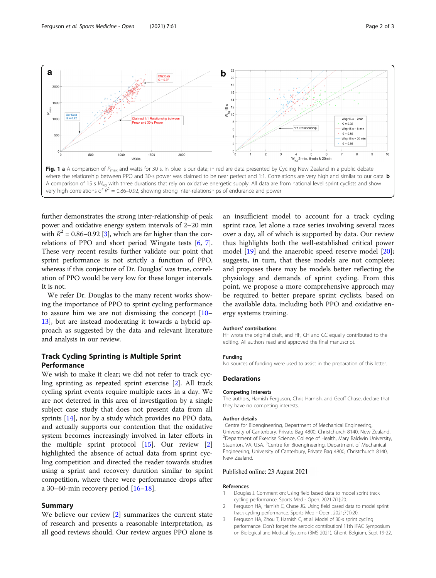<span id="page-1-0"></span>

further demonstrates the strong inter-relationship of peak power and oxidative energy system intervals of 2–20 min with  $R^2 = 0.86 - 0.92$  [3], which are far higher than the correlations of PPO and short period Wingate tests [\[6,](#page-2-0) [7](#page-2-0)]. These very recent results further validate our point that sprint performance is not strictly a function of PPO, whereas if this conjecture of Dr. Douglas' was true, correlation of PPO would be very low for these longer intervals. It is not.

We refer Dr. Douglas to the many recent works showing the importance of PPO to sprint cycling performance to assure him we are not dismissing the concept [[10](#page-2-0)– [13\]](#page-2-0), but are instead moderating it towards a hybrid approach as suggested by the data and relevant literature and analysis in our review.

## Track Cycling Sprinting is Multiple Sprint

We wish to make it clear; we did not refer to track cycling sprinting as repeated sprint exercise [2]. All track cycling sprint events require multiple races in a day. We are not deterred in this area of investigation by a single subject case study that does not present data from all sprints [[14](#page-2-0)], nor by a study which provides no PPO data, and actually supports our contention that the oxidative system becomes increasingly involved in later efforts in the multiple sprint protocol  $[15]$  $[15]$ . Our review  $[2]$ highlighted the absence of actual data from sprint cycling competition and directed the reader towards studies using a sprint and recovery duration similar to sprint competition, where there were performance drops after a 30–60-min recovery period  $[16–18]$  $[16–18]$  $[16–18]$ .

We believe our review [2] summarizes the current state of research and presents a reasonable interpretation, as all good reviews should. Our review argues PPO alone is an insufficient model to account for a track cycling sprint race, let alone a race series involving several races over a day, all of which is supported by data. Our review thus highlights both the well-established critical power model [\[19\]](#page-2-0) and the anaerobic speed reserve model [\[20](#page-2-0)]; suggests, in turn, that these models are not complete; and proposes there may be models better reflecting the physiology and demands of sprint cycling. From this point, we propose a more comprehensive approach may be required to better prepare sprint cyclists, based on the available data, including both PPO and oxidative energy systems training.

#### Authors' contributions

HF wrote the original draft, and HF, CH and GC equally contributed to the editing. All authors read and approved the final manuscript.

#### Funding

No sources of funding were used to assist in the preparation of this letter.

#### Declarations

#### Competing Interests

The authors, Hamish Ferguson, Chris Harnish, and Geoff Chase, declare that they have no competing interests.

### Author details

<sup>1</sup> Centre for Bioengineering, Department of Mechanical Engineering University of Canterbury, Private Bag 4800, Christchurch 8140, New Zealand. <sup>2</sup> Department of Exercise Science, College of Health, Mary Baldwin University, Staunton, VA, USA. <sup>3</sup>Centre for Bioengineering, Department of Mechanical Engineering, University of Canterbury, Private Bag 4800, Christchurch 8140, New Zealand.

### Published online: 23 August 2021

#### References

- 1. Douglas J. Comment on: Using field based data to model sprint track cycling performance. Sports Med - Open. 2021;7(1):20.
- 2. Ferguson HA, Harnish C, Chase JG. Using field based data to model sprint track cycling performance. Sports Med - Open. 2021;7(1):20.
- 3. Ferguson HA, Zhou T, Harnish C, et al. Model of 30-s sprint cycling performance: Don't forget the aerobic contribution! 11th IFAC Symposium on Biological and Medical Systems (BMS 2021), Ghent, Belgium, Sept 19-22,